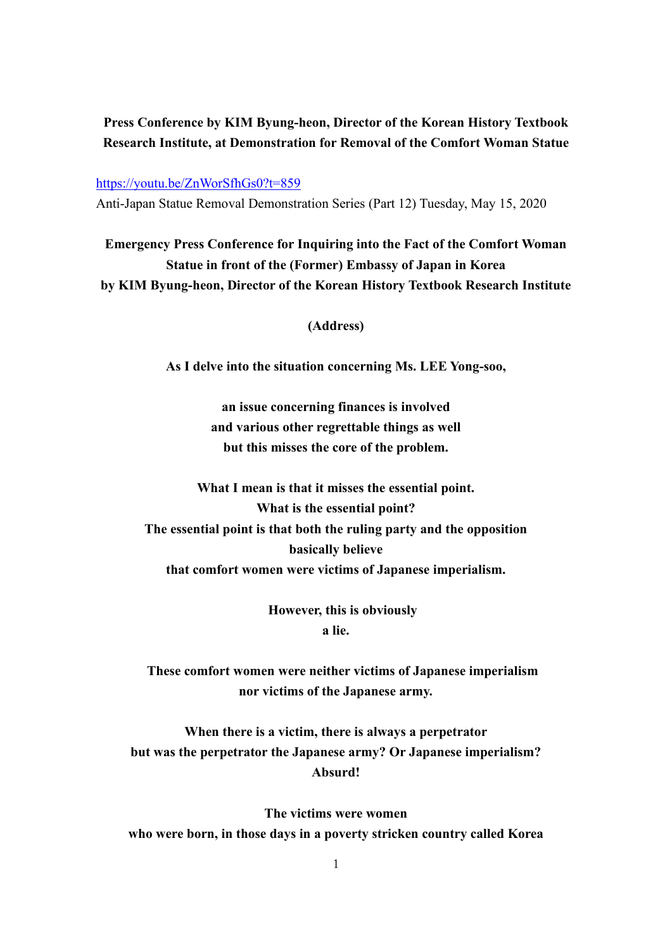## **Press Conference by KIM Byung-heon, Director of the Korean History Textbook Research Institute, at Demonstration for Removal of the Comfort Woman Statue**

<https://youtu.be/ZnWorSfhGs0?t=859>

Anti-Japan Statue Removal Demonstration Series (Part 12) Tuesday, May 15, 2020

**Emergency Press Conference for Inquiring into the Fact of the Comfort Woman Statue in front of the (Former) Embassy of Japan in Korea by KIM Byung-heon, Director of the Korean History Textbook Research Institute** 

**(Address)**

**As I delve into the situation concerning Ms. LEE Yong-soo,**

**an issue concerning finances is involved and various other regrettable things as well but this misses the core of the problem.**

**What I mean is that it misses the essential point. What is the essential point? The essential point is that both the ruling party and the opposition basically believe that comfort women were victims of Japanese imperialism.**

> **However, this is obviously a lie.**

**These comfort women were neither victims of Japanese imperialism nor victims of the Japanese army.**

**When there is a victim, there is always a perpetrator but was the perpetrator the Japanese army? Or Japanese imperialism? Absurd!**

**The victims were women who were born, in those days in a poverty stricken country called Korea**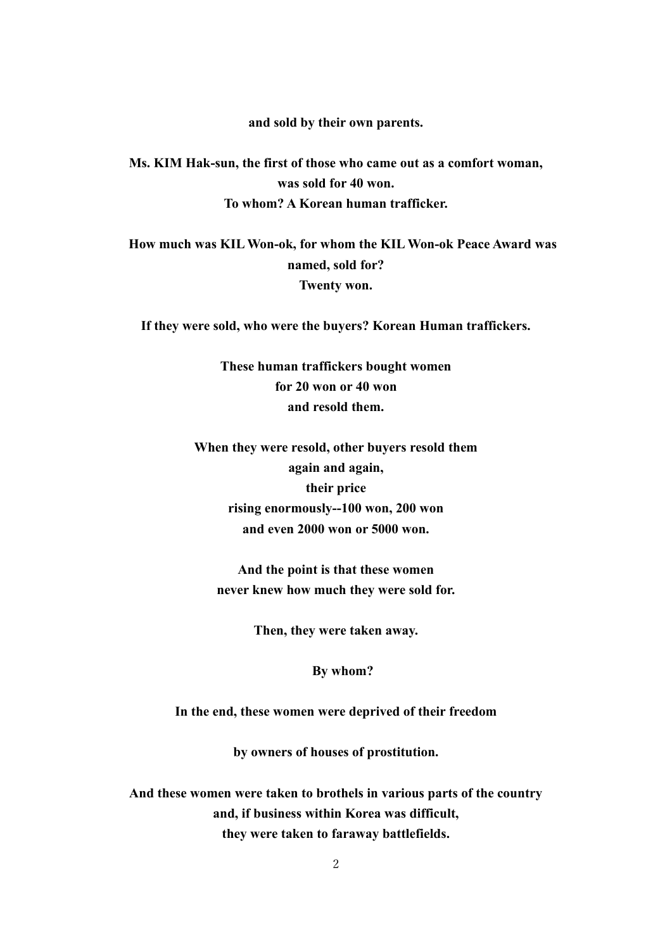**and sold by their own parents.**

**Ms. KIM Hak-sun, the first of those who came out as a comfort woman, was sold for 40 won. To whom? A Korean human trafficker.**

**How much was KILWon-ok, for whom the KIL Won-ok Peace Award was named, sold for? Twenty won.**

**If they were sold, who were the buyers? Korean Human traffickers.**

**These human traffickers bought women for 20 won or 40 won and resold them.**

**When they were resold, other buyers resold them again and again, their price rising enormously--100 won, 200 won and even 2000 won or 5000 won.**

**And the point is that these women never knew how much they were sold for.**

**Then, they were taken away.**

**By whom?**

**In the end, these women were deprived of their freedom**

**by owners of houses of prostitution.**

**And these women were taken to brothels in various parts of the country and, if business within Korea was difficult, they were taken to faraway battlefields.**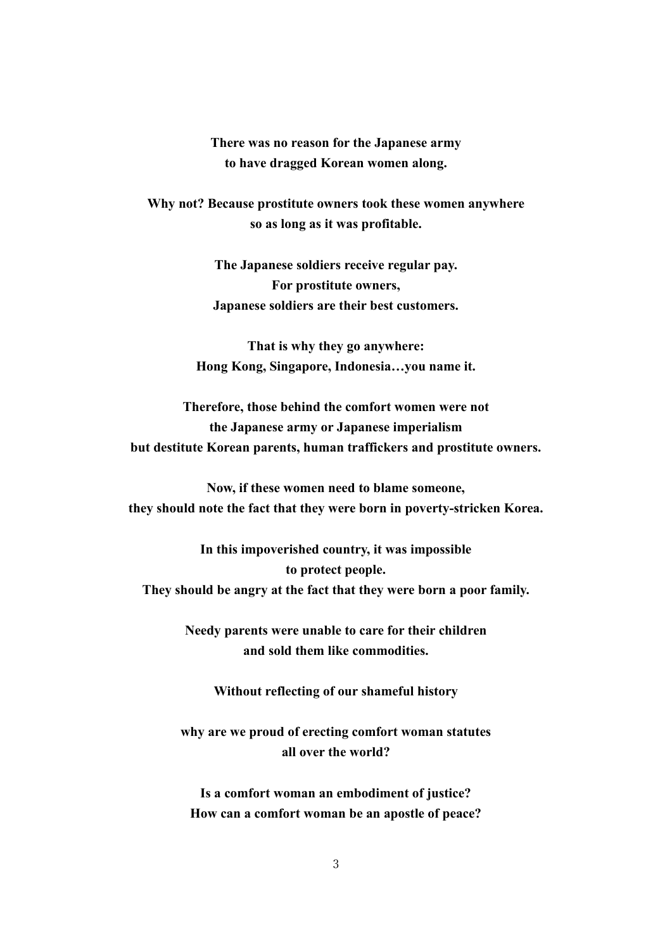**There was no reason for the Japanese army to have dragged Korean women along.**

**Why not? Because prostitute owners took these women anywhere so as long as it was profitable.**

> **The Japanese soldiers receive regular pay. For prostitute owners, Japanese soldiers are their best customers.**

**That is why they go anywhere: Hong Kong, Singapore, Indonesia…you name it.**

**Therefore, those behind the comfort women were not the Japanese army or Japanese imperialism but destitute Korean parents, human traffickers and prostitute owners.**

**Now, if these women need to blame someone, they should note the fact that they were born in poverty-stricken Korea.**

**In this impoverished country, it was impossible to protect people. They should be angry at the fact that they were born a poor family.**

> **Needy parents were unable to care for their children and sold them like commodities.**

**Without reflecting of our shameful history** 

**why are we proud of erecting comfort woman statutes all over the world?**

**Is a comfort woman an embodiment of justice? How can a comfort woman be an apostle of peace?**